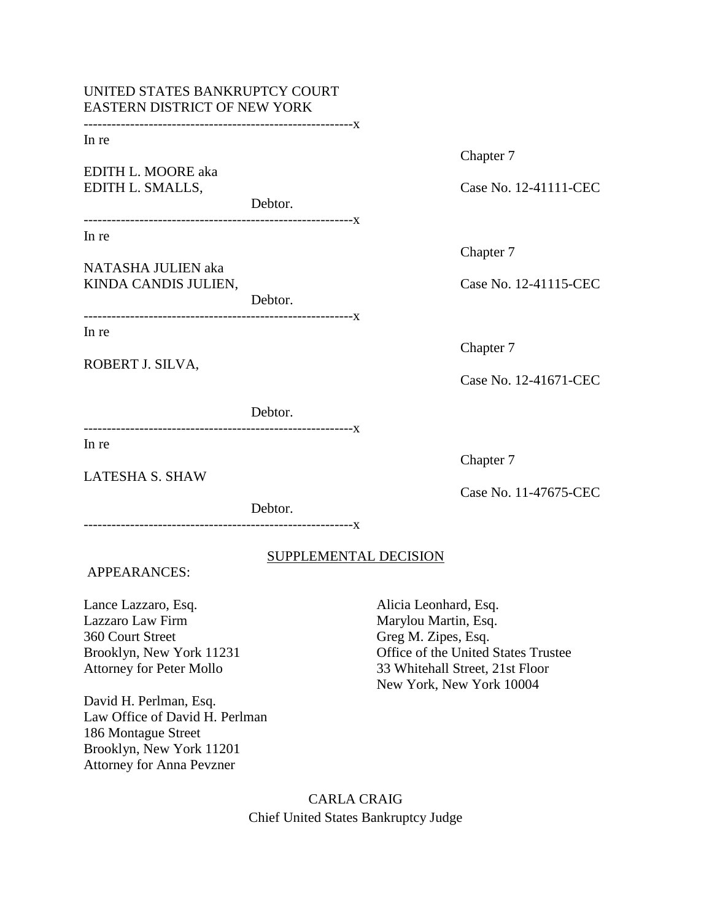| UNITED STATES BANKRUPTCY COURT<br>EASTERN DISTRICT OF NEW YORK                                                                                |                              |                                                                                                                                                                            |                                    |
|-----------------------------------------------------------------------------------------------------------------------------------------------|------------------------------|----------------------------------------------------------------------------------------------------------------------------------------------------------------------------|------------------------------------|
| In re<br>EDITH L. MOORE aka<br>EDITH L. SMALLS,                                                                                               |                              |                                                                                                                                                                            | Chapter 7<br>Case No. 12-41111-CEC |
|                                                                                                                                               | Debtor.                      |                                                                                                                                                                            |                                    |
| In re<br>NATASHA JULIEN aka<br>KINDA CANDIS JULIEN,                                                                                           |                              |                                                                                                                                                                            | Chapter 7                          |
|                                                                                                                                               | Debtor.                      |                                                                                                                                                                            | Case No. 12-41115-CEC              |
| In re<br>ROBERT J. SILVA,                                                                                                                     |                              |                                                                                                                                                                            | Chapter 7                          |
|                                                                                                                                               | Debtor.                      |                                                                                                                                                                            | Case No. 12-41671-CEC              |
| In re                                                                                                                                         |                              |                                                                                                                                                                            | Chapter 7                          |
| <b>LATESHA S. SHAW</b>                                                                                                                        | Debtor.                      |                                                                                                                                                                            | Case No. 11-47675-CEC              |
| <b>APPEARANCES:</b>                                                                                                                           | <b>SUPPLEMENTAL DECISION</b> |                                                                                                                                                                            |                                    |
| Lance Lazzaro, Esq.<br>Lazzaro Law Firm<br>360 Court Street<br>Brooklyn, New York 11231<br>Attorney for Peter Mollo<br>David H. Perlman, Esq. |                              | Alicia Leonhard, Esq.<br>Marylou Martin, Esq.<br>Greg M. Zipes, Esq.<br>Office of the United States Trustee<br>33 Whitehall Street, 21st Floor<br>New York, New York 10004 |                                    |

Law Office of David H. Perlman 186 Montague Street Brooklyn, New York 11201 Attorney for Anna Pevzner

> CARLA CRAIG Chief United States Bankruptcy Judge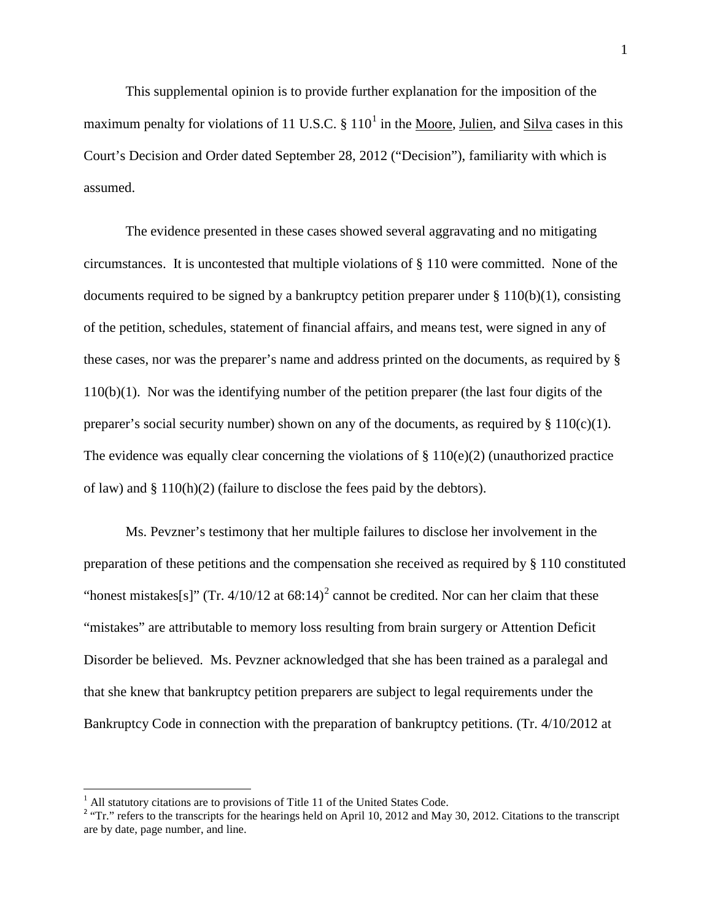This supplemental opinion is to provide further explanation for the imposition of the maximum penalty for violations of [1](#page-1-0)1 U.S.C.  $\S$  110<sup>1</sup> in the Moore, Julien, and Silva cases in this Court's Decision and Order dated September 28, 2012 ("Decision"), familiarity with which is assumed.

The evidence presented in these cases showed several aggravating and no mitigating circumstances. It is uncontested that multiple violations of § 110 were committed. None of the documents required to be signed by a bankruptcy petition preparer under  $\S 110(b)(1)$ , consisting of the petition, schedules, statement of financial affairs, and means test, were signed in any of these cases, nor was the preparer's name and address printed on the documents, as required by § 110(b)(1). Nor was the identifying number of the petition preparer (the last four digits of the preparer's social security number) shown on any of the documents, as required by  $\S 110(c)(1)$ . The evidence was equally clear concerning the violations of  $\S 110(e)(2)$  (unauthorized practice of law) and § 110(h)(2) (failure to disclose the fees paid by the debtors).

Ms. Pevzner's testimony that her multiple failures to disclose her involvement in the preparation of these petitions and the compensation she received as required by § 110 constituted "honest mistakes[s]" (Tr.  $4/10/12$  $4/10/12$  at  $68:14$ )<sup>2</sup> cannot be credited. Nor can her claim that these "mistakes" are attributable to memory loss resulting from brain surgery or Attention Deficit Disorder be believed. Ms. Pevzner acknowledged that she has been trained as a paralegal and that she knew that bankruptcy petition preparers are subject to legal requirements under the Bankruptcy Code in connection with the preparation of bankruptcy petitions. (Tr. 4/10/2012 at

<span id="page-1-1"></span><span id="page-1-0"></span><sup>&</sup>lt;sup>1</sup> All statutory citations are to provisions of Title 11 of the United States Code.<br><sup>2</sup> "Tr." refers to the transcripts for the hearings held on April 10, 2012 and May 30, 2012. Citations to the transcript are by date, page number, and line.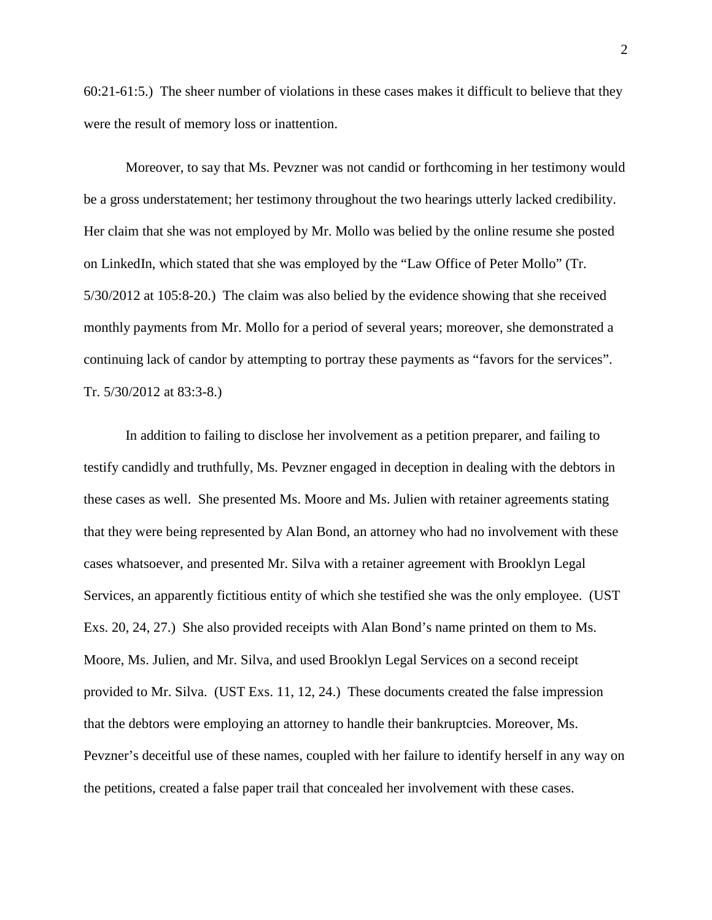60:21-61:5.) The sheer number of violations in these cases makes it difficult to believe that they were the result of memory loss or inattention.

Moreover, to say that Ms. Pevzner was not candid or forthcoming in her testimony would be a gross understatement; her testimony throughout the two hearings utterly lacked credibility. Her claim that she was not employed by Mr. Mollo was belied by the online resume she posted on LinkedIn, which stated that she was employed by the "Law Office of Peter Mollo" (Tr. 5/30/2012 at 105:8-20.) The claim was also belied by the evidence showing that she received monthly payments from Mr. Mollo for a period of several years; moreover, she demonstrated a continuing lack of candor by attempting to portray these payments as "favors for the services". Tr. 5/30/2012 at 83:3-8.)

In addition to failing to disclose her involvement as a petition preparer, and failing to testify candidly and truthfully, Ms. Pevzner engaged in deception in dealing with the debtors in these cases as well. She presented Ms. Moore and Ms. Julien with retainer agreements stating that they were being represented by Alan Bond, an attorney who had no involvement with these cases whatsoever, and presented Mr. Silva with a retainer agreement with Brooklyn Legal Services, an apparently fictitious entity of which she testified she was the only employee. (UST Exs. 20, 24, 27.) She also provided receipts with Alan Bond's name printed on them to Ms. Moore, Ms. Julien, and Mr. Silva, and used Brooklyn Legal Services on a second receipt provided to Mr. Silva. (UST Exs. 11, 12, 24.) These documents created the false impression that the debtors were employing an attorney to handle their bankruptcies. Moreover, Ms. Pevzner's deceitful use of these names, coupled with her failure to identify herself in any way on the petitions, created a false paper trail that concealed her involvement with these cases.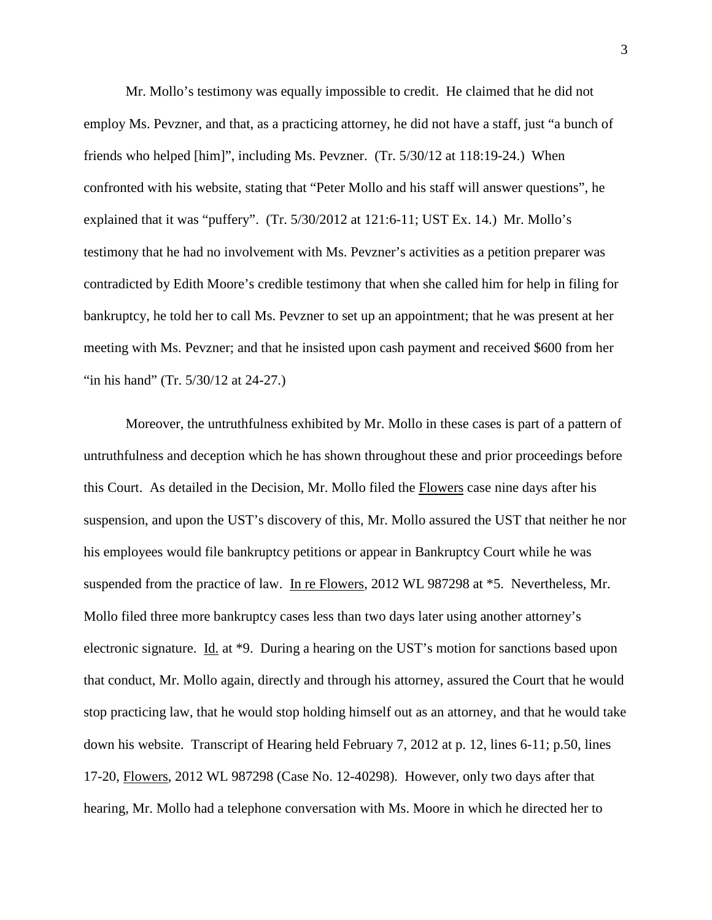Mr. Mollo's testimony was equally impossible to credit. He claimed that he did not employ Ms. Pevzner, and that, as a practicing attorney, he did not have a staff, just "a bunch of friends who helped [him]", including Ms. Pevzner. (Tr. 5/30/12 at 118:19-24.) When confronted with his website, stating that "Peter Mollo and his staff will answer questions", he explained that it was "puffery". (Tr. 5/30/2012 at 121:6-11; UST Ex. 14.) Mr. Mollo's testimony that he had no involvement with Ms. Pevzner's activities as a petition preparer was contradicted by Edith Moore's credible testimony that when she called him for help in filing for bankruptcy, he told her to call Ms. Pevzner to set up an appointment; that he was present at her meeting with Ms. Pevzner; and that he insisted upon cash payment and received \$600 from her "in his hand" (Tr. 5/30/12 at 24-27.)

Moreover, the untruthfulness exhibited by Mr. Mollo in these cases is part of a pattern of untruthfulness and deception which he has shown throughout these and prior proceedings before this Court. As detailed in the Decision, Mr. Mollo filed the Flowers case nine days after his suspension, and upon the UST's discovery of this, Mr. Mollo assured the UST that neither he nor his employees would file bankruptcy petitions or appear in Bankruptcy Court while he was suspended from the practice of law. In re Flowers, 2012 WL 987298 at \*5. Nevertheless, Mr. Mollo filed three more bankruptcy cases less than two days later using another attorney's electronic signature. Id. at \*9. During a hearing on the UST's motion for sanctions based upon that conduct, Mr. Mollo again, directly and through his attorney, assured the Court that he would stop practicing law, that he would stop holding himself out as an attorney, and that he would take down his website. Transcript of Hearing held February 7, 2012 at p. 12, lines 6-11; p.50, lines 17-20, Flowers, 2012 WL 987298 (Case No. 12-40298). However, only two days after that hearing, Mr. Mollo had a telephone conversation with Ms. Moore in which he directed her to